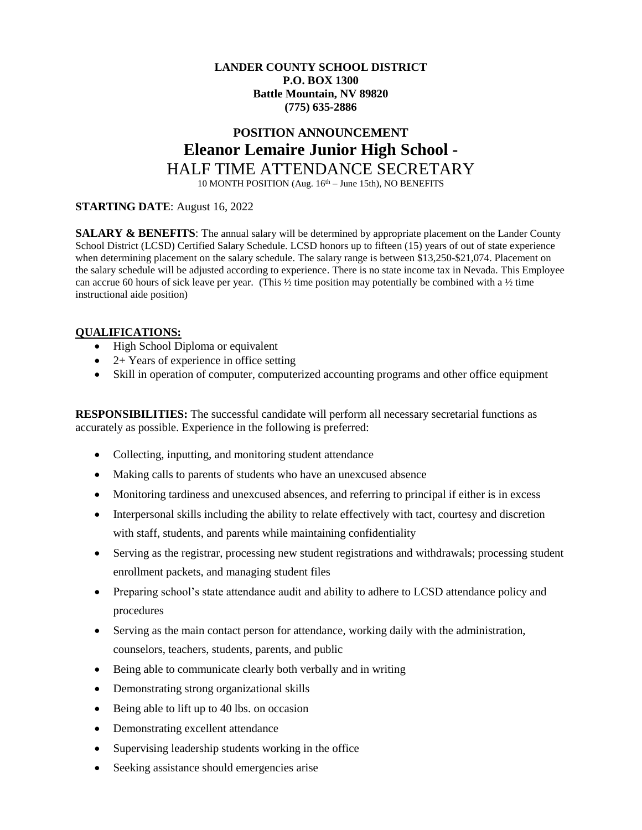# **LANDER COUNTY SCHOOL DISTRICT P.O. BOX 1300 Battle Mountain, NV 89820 (775) 635-2886**

# **POSITION ANNOUNCEMENT Eleanor Lemaire Junior High School -** HALF TIME ATTENDANCE SECRETARY

10 MONTH POSITION (Aug. 16<sup>th</sup> – June 15th), NO BENEFITS

# **STARTING DATE**: August 16, 2022

**SALARY & BENEFITS:** The annual salary will be determined by appropriate placement on the Lander County School District (LCSD) Certified Salary Schedule. LCSD honors up to fifteen (15) years of out of state experience when determining placement on the salary schedule. The salary range is between \$13,250-\$21,074. Placement on the salary schedule will be adjusted according to experience. There is no state income tax in Nevada. This Employee can accrue 60 hours of sick leave per year. (This  $\frac{1}{2}$  time position may potentially be combined with a  $\frac{1}{2}$  time instructional aide position)

## **QUALIFICATIONS:**

- High School Diploma or equivalent
- $\bullet$  2+ Years of experience in office setting
- Skill in operation of computer, computerized accounting programs and other office equipment

**RESPONSIBILITIES:** The successful candidate will perform all necessary secretarial functions as accurately as possible. Experience in the following is preferred:

- Collecting, inputting, and monitoring student attendance
- Making calls to parents of students who have an unexcused absence
- Monitoring tardiness and unexcused absences, and referring to principal if either is in excess
- Interpersonal skills including the ability to relate effectively with tact, courtesy and discretion with staff, students, and parents while maintaining confidentiality
- Serving as the registrar, processing new student registrations and withdrawals; processing student enrollment packets, and managing student files
- Preparing school's state attendance audit and ability to adhere to LCSD attendance policy and procedures
- Serving as the main contact person for attendance, working daily with the administration, counselors, teachers, students, parents, and public
- Being able to communicate clearly both verbally and in writing
- Demonstrating strong organizational skills
- Being able to lift up to 40 lbs. on occasion
- Demonstrating excellent attendance
- Supervising leadership students working in the office
- Seeking assistance should emergencies arise